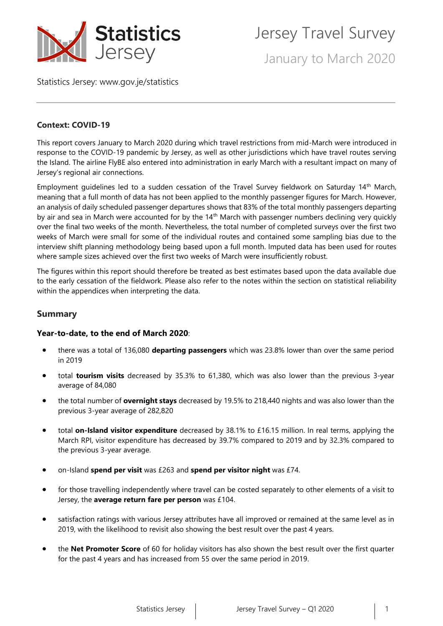

Jersey Travel Survey

January to March 2020

Statistics Jersey: [www.gov.je/statistics](https://www.gov.je/statistics)

# **Context: COVID-19**

This report covers January to March 2020 during which travel restrictions from mid-March were introduced in response to the COVID-19 pandemic by Jersey, as well as other jurisdictions which have travel routes serving the Island. The airline FlyBE also entered into administration in early March with a resultant impact on many of Jersey's regional air connections.

Employment guidelines led to a sudden cessation of the Travel Survey fieldwork on Saturday 14th March, meaning that a full month of data has not been applied to the monthly passenger figures for March. However, an analysis of daily scheduled passenger departures shows that 83% of the total monthly passengers departing by air and sea in March were accounted for by the 14<sup>th</sup> March with passenger numbers declining very quickly over the final two weeks of the month. Nevertheless, the total number of completed surveys over the first two weeks of March were small for some of the individual routes and contained some sampling bias due to the interview shift planning methodology being based upon a full month. Imputed data has been used for routes where sample sizes achieved over the first two weeks of March were insufficiently robust.

The figures within this report should therefore be treated as best estimates based upon the data available due to the early cessation of the fieldwork. Please also refer to the notes within the section on statistical reliability within the appendices when interpreting the data.

# **Summary**

## **Year-to-date, to the end of March 2020**:

- there was a total of 136,080 **departing passengers** which was 23.8% lower than over the same period in 2019
- total **tourism visits** decreased by 35.3% to 61,380, which was also lower than the previous 3-year average of 84,080
- the total number of **overnight stays** decreased by 19.5% to 218,440 nights and was also lower than the previous 3-year average of 282,820
- total **on-Island visitor expenditure** decreased by 38.1% to £16.15 million. In real terms, applying the March RPI, visitor expenditure has decreased by 39.7% compared to 2019 and by 32.3% compared to the previous 3-year average.
- on-Island **spend per visit** was £263 and **spend per visitor night** was £74.
- for those travelling independently where travel can be costed separately to other elements of a visit to Jersey, the **average return fare per person** was £104.
- satisfaction ratings with various Jersey attributes have all improved or remained at the same level as in 2019, with the likelihood to revisit also showing the best result over the past 4 years.
- the **Net Promoter Score** of 60 for holiday visitors has also shown the best result over the first quarter for the past 4 years and has increased from 55 over the same period in 2019.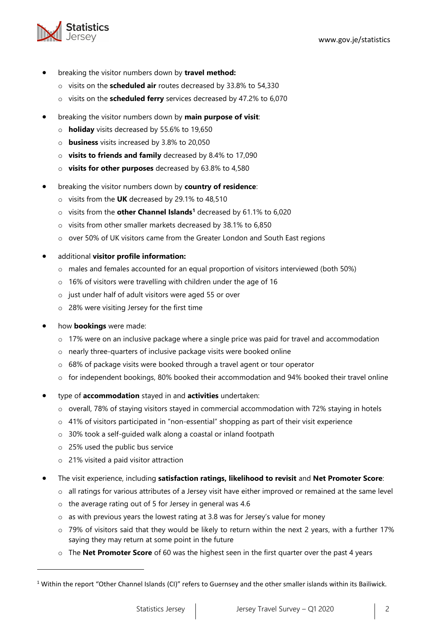

- breaking the visitor numbers down by **travel method:**
	- o visits on the **scheduled air** routes decreased by 33.8% to 54,330
	- o visits on the **scheduled ferry** services decreased by 47.2% to 6,070
- breaking the visitor numbers down by **main purpose of visit**:
	- o **holiday** visits decreased by 55.6% to 19,650
	- o **business** visits increased by 3.8% to 20,050
	- o **visits to friends and family** decreased by 8.4% to 17,090
	- o **visits for other purposes** decreased by 63.8% to 4,580
- breaking the visitor numbers down by **country of residence**:
	- o visits from the **UK** decreased by 29.1% to 48,510
	- o visits from the **other Channel Islands<sup>1</sup>** decreased by 61.1% to 6,020
	- o visits from other smaller markets decreased by 38.1% to 6,850
	- o over 50% of UK visitors came from the Greater London and South East regions
- additional **visitor profile information:**
	- o males and females accounted for an equal proportion of visitors interviewed (both 50%)
	- o 16% of visitors were travelling with children under the age of 16
	- o just under half of adult visitors were aged 55 or over
	- o 28% were visiting Jersey for the first time
- how **bookings** were made:
	- $\circ$  17% were on an inclusive package where a single price was paid for travel and accommodation
	- o nearly three-quarters of inclusive package visits were booked online
	- o 68% of package visits were booked through a travel agent or tour operator
	- o for independent bookings, 80% booked their accommodation and 94% booked their travel online
- type of **accommodation** stayed in and **activities** undertaken:
	- $\circ$  overall, 78% of staying visitors stayed in commercial accommodation with 72% staying in hotels
	- o 41% of visitors participated in "non-essential" shopping as part of their visit experience
	- o 30% took a self-guided walk along a coastal or inland footpath
	- o 25% used the public bus service
	- o 21% visited a paid visitor attraction
- The visit experience, including **satisfaction ratings, likelihood to revisit** and **Net Promoter Score**:
	- $\circ$  all ratings for various attributes of a Jersey visit have either improved or remained at the same level
	- o the average rating out of 5 for Jersey in general was 4.6
	- o as with previous years the lowest rating at 3.8 was for Jersey's value for money
	- $\circ$  79% of visitors said that they would be likely to return within the next 2 years, with a further 17% saying they may return at some point in the future
	- o The **Net Promoter Score** of 60 was the highest seen in the first quarter over the past 4 years

<sup>&</sup>lt;sup>1</sup> Within the report "Other Channel Islands (CI)" refers to Guernsey and the other smaller islands within its Bailiwick.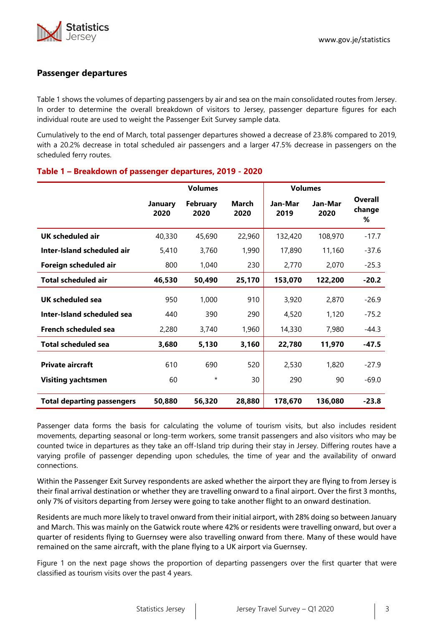# **Passenger departures**

Table 1 shows the volumes of departing passengers by air and sea on the main consolidated routes from Jersey. In order to determine the overall breakdown of visitors to Jersey, passenger departure figures for each individual route are used to weight the Passenger Exit Survey sample data.

Cumulatively to the end of March, total passenger departures showed a decrease of 23.8% compared to 2019, with a 20.2% decrease in total scheduled air passengers and a larger 47.5% decrease in passengers on the scheduled ferry routes.

|                                   | <b>Volumes</b>         |                         |               | <b>Volumes</b>  |                 |                        |
|-----------------------------------|------------------------|-------------------------|---------------|-----------------|-----------------|------------------------|
|                                   | <b>January</b><br>2020 | <b>February</b><br>2020 | March<br>2020 | Jan-Mar<br>2019 | Jan-Mar<br>2020 | Overall<br>change<br>% |
| <b>UK scheduled air</b>           | 40,330                 | 45,690                  | 22,960        | 132,420         | 108,970         | $-17.7$                |
| Inter-Island scheduled air        | 5,410                  | 3,760                   | 1,990         | 17,890          | 11,160          | $-37.6$                |
| Foreign scheduled air             | 800                    | 1,040                   | 230           | 2,770           | 2,070           | $-25.3$                |
| <b>Total scheduled air</b>        | 46,530                 | 50,490                  | 25,170        | 153,070         | 122,200         | $-20.2$                |
| UK scheduled sea                  | 950                    | 1,000                   | 910           | 3,920           | 2,870           | $-26.9$                |
| Inter-Island scheduled sea        | 440                    | 390                     | 290           | 4,520           | 1,120           | $-75.2$                |
| <b>French scheduled sea</b>       | 2,280                  | 3,740                   | 1,960         | 14,330          | 7,980           | $-44.3$                |
| <b>Total scheduled sea</b>        | 3,680                  | 5,130                   | 3,160         | 22,780          | 11,970          | $-47.5$                |
| <b>Private aircraft</b>           | 610                    | 690                     | 520           | 2,530           | 1,820           | $-27.9$                |
| <b>Visiting yachtsmen</b>         | 60                     | $^\star$                | 30            | 290             | 90              | $-69.0$                |
| <b>Total departing passengers</b> | 50,880                 | 56,320                  | 28,880        | 178,670         | 136,080         | $-23.8$                |

## **Table 1 – Breakdown of passenger departures, 2019 - 2020**

Passenger data forms the basis for calculating the volume of tourism visits, but also includes resident movements, departing seasonal or long-term workers, some transit passengers and also visitors who may be counted twice in departures as they take an off-Island trip during their stay in Jersey. Differing routes have a varying profile of passenger depending upon schedules, the time of year and the availability of onward connections.

Within the Passenger Exit Survey respondents are asked whether the airport they are flying to from Jersey is their final arrival destination or whether they are travelling onward to a final airport. Over the first 3 months, only 7% of visitors departing from Jersey were going to take another flight to an onward destination.

Residents are much more likely to travel onward from their initial airport, with 28% doing so between January and March. This was mainly on the Gatwick route where 42% or residents were travelling onward, but over a quarter of residents flying to Guernsey were also travelling onward from there. Many of these would have remained on the same aircraft, with the plane flying to a UK airport via Guernsey.

Figure 1 on the next page shows the proportion of departing passengers over the first quarter that were classified as tourism visits over the past 4 years.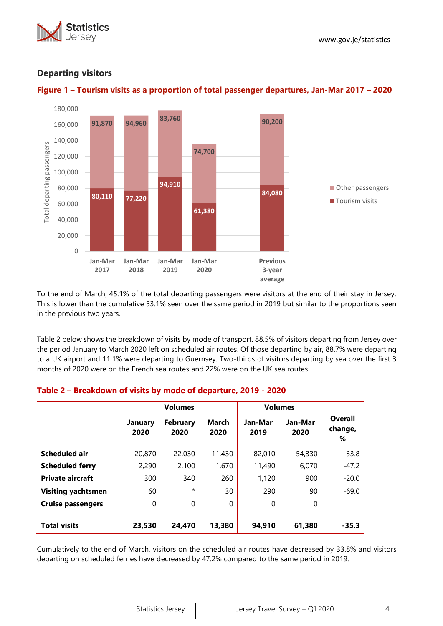



# **Departing visitors**



To the end of March, 45.1% of the total departing passengers were visitors at the end of their stay in Jersey. This is lower than the cumulative 53.1% seen over the same period in 2019 but similar to the proportions seen in the previous two years.

Table 2 below shows the breakdown of visits by mode of transport. 88.5% of visitors departing from Jersey over the period January to March 2020 left on scheduled air routes. Of those departing by air, 88.7% were departing to a UK airport and 11.1% were departing to Guernsey. Two-thirds of visitors departing by sea over the first 3 months of 2020 were on the French sea routes and 22% were on the UK sea routes.

#### **Volumes Volumes January 2020 February 2020 March 2020 Jan-Mar 2019 Jan-Mar 2020 Overall change, % Scheduled air** 20,870 22,030 11,430 82,010 54,330 -33.8 **Scheduled ferry** 2,290 2,100 1,670 11,490 6,070 -47.2 **Private aircraft** 300 340 260 1.120 900 -20.0 **Visiting yachtsmen** 60  $*$  30 290 90 -69.0 **Cruise passengers**  $\begin{array}{ccc} 0 & 0 & 0 \end{array}$  0 0 0 0 **Total visits 23,530 24,470 13,380 94,910 61,380 -35.3**

# **Table 2 – Breakdown of visits by mode of departure, 2019 - 2020**

Cumulatively to the end of March, visitors on the scheduled air routes have decreased by 33.8% and visitors departing on scheduled ferries have decreased by 47.2% compared to the same period in 2019.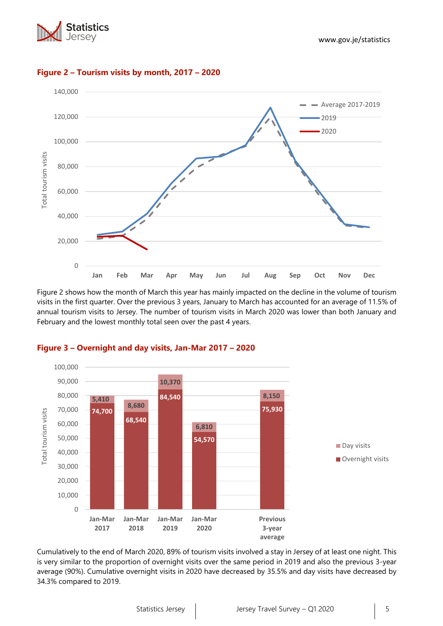



## **Figure 2 – Tourism visits by month, 2017 – 2020**

Figure 2 shows how the month of March this year has mainly impacted on the decline in the volume of tourism visits in the first quarter. Over the previous 3 years, January to March has accounted for an average of 11.5% of annual tourism visits to Jersey. The number of tourism visits in March 2020 was lower than both January and February and the lowest monthly total seen over the past 4 years.



#### **Figure 3 – Overnight and day visits, Jan-Mar 2017 – 2020**

Cumulatively to the end of March 2020, 89% of tourism visits involved a stay in Jersey of at least one night. This is very similar to the proportion of overnight visits over the same period in 2019 and also the previous 3-year average (90%). Cumulative overnight visits in 2020 have decreased by 35.5% and day visits have decreased by 34.3% compared to 2019.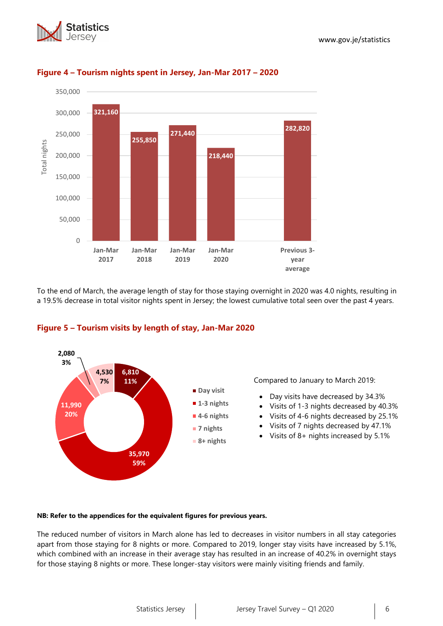



# **Figure 4 – Tourism nights spent in Jersey, Jan-Mar 2017 – 2020**

To the end of March, the average length of stay for those staying overnight in 2020 was 4.0 nights, resulting in a 19.5% decrease in total visitor nights spent in Jersey; the lowest cumulative total seen over the past 4 years.



## **Figure 5 – Tourism visits by length of stay, Jan-Mar 2020**

Compared to January to March 2019:

- Day visits have decreased by 34.3%
- Visits of 1-3 nights decreased by 40.3%
- Visits of 4-6 nights decreased by 25.1%
- Visits of 7 nights decreased by 47.1%
- Visits of 8+ nights increased by 5.1%

#### **NB: Refer to the appendices for the equivalent figures for previous years.**

The reduced number of visitors in March alone has led to decreases in visitor numbers in all stay categories apart from those staying for 8 nights or more. Compared to 2019, longer stay visits have increased by 5.1%, which combined with an increase in their average stay has resulted in an increase of 40.2% in overnight stays for those staying 8 nights or more. These longer-stay visitors were mainly visiting friends and family.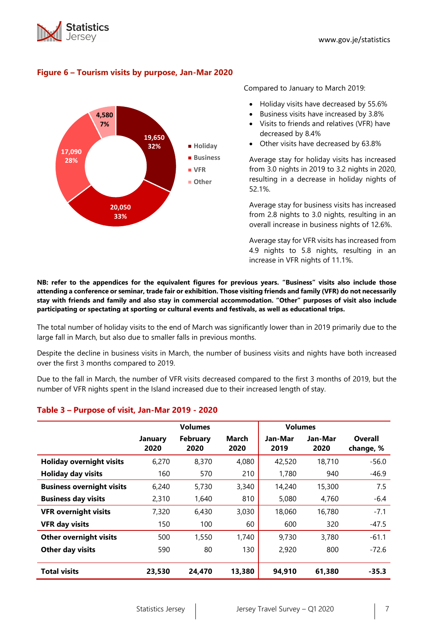



# **Figure 6 – Tourism visits by purpose, Jan-Mar 2020**

Compared to January to March 2019:

- Holiday visits have decreased by 55.6%
- Business visits have increased by 3.8%
- Visits to friends and relatives (VFR) have decreased by 8.4%
- Other visits have decreased by 63.8%

Average stay for holiday visits has increased from 3.0 nights in 2019 to 3.2 nights in 2020, resulting in a decrease in holiday nights of 52.1%.

Average stay for business visits has increased from 2.8 nights to 3.0 nights, resulting in an overall increase in business nights of 12.6%.

Average stay for VFR visits has increased from 4.9 nights to 5.8 nights, resulting in an increase in VFR nights of 11.1%.

**NB: refer to the appendices for the equivalent figures for previous years. "Business" visits also include those attending a conference or seminar, trade fair or exhibition. Those visiting friends and family (VFR) do not necessarily stay with friends and family and also stay in commercial accommodation. "Other" purposes of visit also include participating or spectating at sporting or cultural events and festivals, as well as educational trips.**

The total number of holiday visits to the end of March was significantly lower than in 2019 primarily due to the large fall in March, but also due to smaller falls in previous months.

Despite the decline in business visits in March, the number of business visits and nights have both increased over the first 3 months compared to 2019.

Due to the fall in March, the number of VFR visits decreased compared to the first 3 months of 2019, but the number of VFR nights spent in the Island increased due to their increased length of stay.

|                                  | <b>Volumes</b>                                    |        |               | <b>Volumes</b>  |                 |                      |
|----------------------------------|---------------------------------------------------|--------|---------------|-----------------|-----------------|----------------------|
|                                  | <b>February</b><br><b>January</b><br>2020<br>2020 |        | March<br>2020 | Jan-Mar<br>2019 | Jan-Mar<br>2020 | Overall<br>change, % |
| <b>Holiday overnight visits</b>  | 6,270                                             | 8,370  | 4,080         | 42,520          | 18,710          | $-56.0$              |
| <b>Holiday day visits</b>        | 160                                               | 570    | 210           | 1,780           | 940             | $-46.9$              |
| <b>Business overnight visits</b> | 6,240                                             | 5,730  | 3,340         | 14,240          | 15,300          | 7.5                  |
| <b>Business day visits</b>       | 2,310                                             | 1,640  | 810           | 5,080           | 4.760           | $-6.4$               |
| <b>VFR overnight visits</b>      | 7,320                                             | 6,430  | 3,030         | 18,060          | 16,780          | $-7.1$               |
| <b>VFR day visits</b>            | 150                                               | 100    | 60            | 600             | 320             | $-47.5$              |
| <b>Other overnight visits</b>    | 500                                               | 1,550  | 1,740         | 9,730           | 3,780           | $-61.1$              |
| Other day visits                 | 590                                               | 80     | 130           | 2,920           | 800             | $-72.6$              |
| <b>Total visits</b>              | 23,530                                            | 24,470 | 13,380        | 94,910          | 61,380          | $-35.3$              |

## **Table 3 – Purpose of visit, Jan-Mar 2019 - 2020**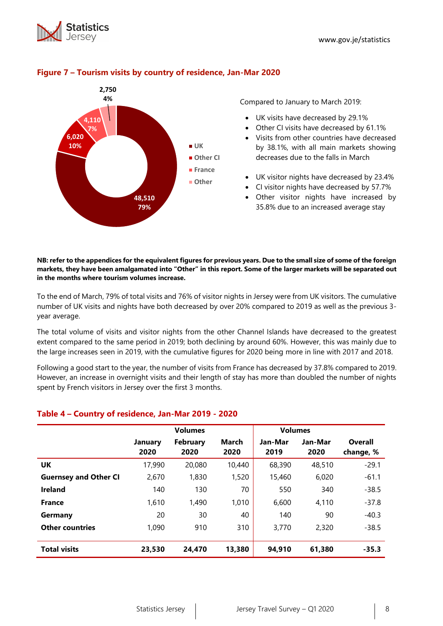



## **Figure 7 – Tourism visits by country of residence, Jan-Mar 2020**

Compared to January to March 2019:

- UK visits have decreased by 29.1%
- Other CI visits have decreased by 61.1%
- Visits from other countries have decreased by 38.1%, with all main markets showing decreases due to the falls in March
- UK visitor nights have decreased by 23.4%
- CI visitor nights have decreased by 57.7%
- Other visitor nights have increased by 35.8% due to an increased average stay

**NB: refer to the appendices for the equivalent figures for previous years. Due to the small size of some of the foreign markets, they have been amalgamated into "Other" in this report. Some of the larger markets will be separated out in the months where tourism volumes increase.**

To the end of March, 79% of total visits and 76% of visitor nights in Jersey were from UK visitors. The cumulative number of UK visits and nights have both decreased by over 20% compared to 2019 as well as the previous 3 year average.

The total volume of visits and visitor nights from the other Channel Islands have decreased to the greatest extent compared to the same period in 2019; both declining by around 60%. However, this was mainly due to the large increases seen in 2019, with the cumulative figures for 2020 being more in line with 2017 and 2018.

Following a good start to the year, the number of visits from France has decreased by 37.8% compared to 2019. However, an increase in overnight visits and their length of stay has more than doubled the number of nights spent by French visitors in Jersey over the first 3 months.

## **Table 4 – Country of residence, Jan-Mar 2019 - 2020**

|                              | <b>Volumes</b>         |                         |                      | <b>Volumes</b>  |                 |                |
|------------------------------|------------------------|-------------------------|----------------------|-----------------|-----------------|----------------|
|                              | <b>January</b><br>2020 | <b>February</b><br>2020 | <b>March</b><br>2020 | Jan-Mar<br>2019 | Jan-Mar<br>2020 | <b>Overall</b> |
|                              |                        |                         |                      |                 |                 | change, %      |
| UK                           | 17,990                 | 20,080                  | 10,440               | 68,390          | 48,510          | $-29.1$        |
| <b>Guernsey and Other CI</b> | 2,670                  | 1,830                   | 1,520                | 15,460          | 6,020           | $-61.1$        |
| <b>Ireland</b>               | 140                    | 130                     | 70                   | 550             | 340             | $-38.5$        |
| <b>France</b>                | 1,610                  | 1,490                   | 1,010                | 6,600           | 4.110           | $-37.8$        |
| Germany                      | 20                     | 30                      | 40                   | 140             | 90              | $-40.3$        |
| <b>Other countries</b>       | 1,090                  | 910                     | 310                  | 3,770           | 2,320           | $-38.5$        |
|                              |                        |                         |                      |                 |                 |                |
| <b>Total visits</b>          | 23,530                 | 24,470                  | 13,380               | 94,910          | 61,380          | $-35.3$        |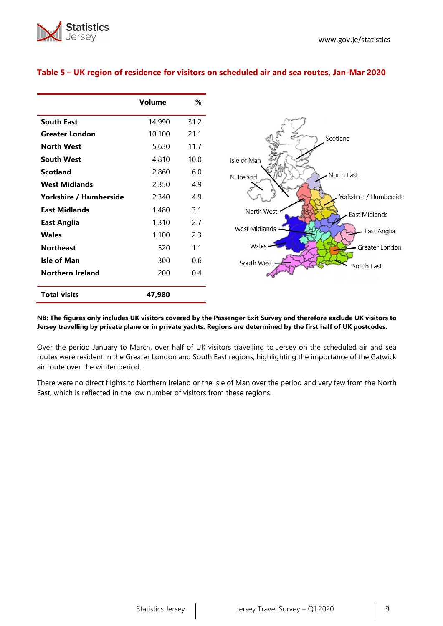

|                         | Volume | %    |
|-------------------------|--------|------|
| <b>South East</b>       | 14,990 | 31.2 |
| <b>Greater London</b>   | 10,100 | 21.1 |
| <b>North West</b>       | 5,630  | 11.7 |
| <b>South West</b>       | 4,810  | 10.0 |
| <b>Scotland</b>         | 2,860  | 6.0  |
| <b>West Midlands</b>    | 2,350  | 4.9  |
| Yorkshire / Humberside  | 2,340  | 4.9  |
| <b>East Midlands</b>    | 1,480  | 3.1  |
| <b>East Anglia</b>      | 1,310  | 2.7  |
| <b>Wales</b>            | 1,100  | 2.3  |
| <b>Northeast</b>        | 520    | 1.1  |
| <b>Isle of Man</b>      | 300    | 0.6  |
| <b>Northern Ireland</b> | 200    | 0.4  |
| <b>Total visits</b>     | 47,980 |      |

## **Table 5 – UK region of residence for visitors on scheduled air and sea routes, Jan-Mar 2020**



#### **NB: The figures only includes UK visitors covered by the Passenger Exit Survey and therefore exclude UK visitors to Jersey travelling by private plane or in private yachts. Regions are determined by the first half of UK postcodes.**

Over the period January to March, over half of UK visitors travelling to Jersey on the scheduled air and sea routes were resident in the Greater London and South East regions, highlighting the importance of the Gatwick air route over the winter period.

There were no direct flights to Northern Ireland or the Isle of Man over the period and very few from the North East, which is reflected in the low number of visitors from these regions.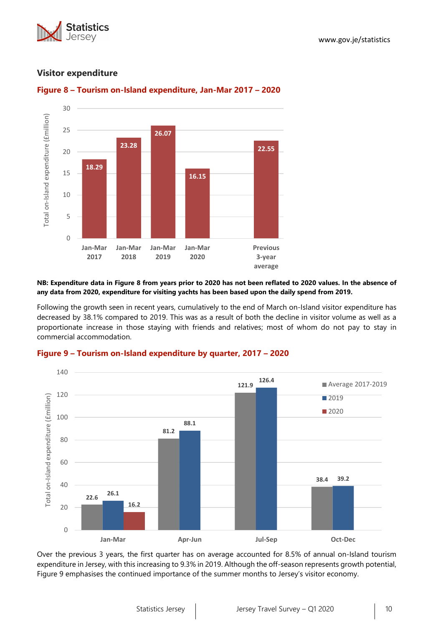



## **Visitor expenditure**



# **Figure 8 – Tourism on-Island expenditure, Jan-Mar 2017 – 2020**

#### **NB: Expenditure data in Figure 8 from years prior to 2020 has not been reflated to 2020 values. In the absence of any data from 2020, expenditure for visiting yachts has been based upon the daily spend from 2019.**

Following the growth seen in recent years, cumulatively to the end of March on-Island visitor expenditure has decreased by 38.1% compared to 2019. This was as a result of both the decline in visitor volume as well as a proportionate increase in those staying with friends and relatives; most of whom do not pay to stay in commercial accommodation.



#### **Figure 9 – Tourism on-Island expenditure by quarter, 2017 – 2020**

Over the previous 3 years, the first quarter has on average accounted for 8.5% of annual on-Island tourism expenditure in Jersey, with this increasing to 9.3% in 2019. Although the off-season represents growth potential, Figure 9 emphasises the continued importance of the summer months to Jersey's visitor economy.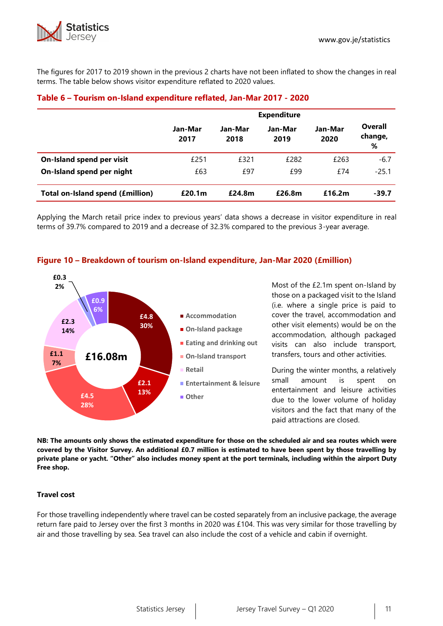

The figures for 2017 to 2019 shown in the previous 2 charts have not been inflated to show the changes in real terms. The table below shows visitor expenditure reflated to 2020 values.

|                                         | <b>Expenditure</b> |                 |                 |                 |                         |  |  |
|-----------------------------------------|--------------------|-----------------|-----------------|-----------------|-------------------------|--|--|
|                                         | Jan-Mar<br>2017    | Jan-Mar<br>2018 | Jan-Mar<br>2019 | Jan-Mar<br>2020 | Overall<br>change,<br>% |  |  |
| On-Island spend per visit               | £251               | £321            | £282            | £263            | $-6.7$                  |  |  |
| On-Island spend per night               | £63                | £97             | £99             | £74             | $-25.1$                 |  |  |
| <b>Total on-Island spend (£million)</b> | £20.1 <sub>m</sub> | £24.8m          | £26.8m          | £16.2m          | $-39.7$                 |  |  |

## **Table 6 – Tourism on-Island expenditure reflated, Jan-Mar 2017 - 2020**

Applying the March retail price index to previous years' data shows a decrease in visitor expenditure in real terms of 39.7% compared to 2019 and a decrease of 32.3% compared to the previous 3-year average.



## **Figure 10 – Breakdown of tourism on-Island expenditure, Jan-Mar 2020 (£million)**

Most of the £2.1m spent on-Island by those on a packaged visit to the Island (i.e. where a single price is paid to cover the travel, accommodation and other visit elements) would be on the accommodation, although packaged visits can also include transport, transfers, tours and other activities.

During the winter months, a relatively small amount is spent on entertainment and leisure activities due to the lower volume of holiday visitors and the fact that many of the paid attractions are closed.

**NB: The amounts only shows the estimated expenditure for those on the scheduled air and sea routes which were covered by the Visitor Survey. An additional £0.7 million is estimated to have been spent by those travelling by private plane or yacht. "Other" also includes money spent at the port terminals, including within the airport Duty Free shop.**

## **Travel cost**

For those travelling independently where travel can be costed separately from an inclusive package, the average return fare paid to Jersey over the first 3 months in 2020 was £104. This was very similar for those travelling by air and those travelling by sea. Sea travel can also include the cost of a vehicle and cabin if overnight.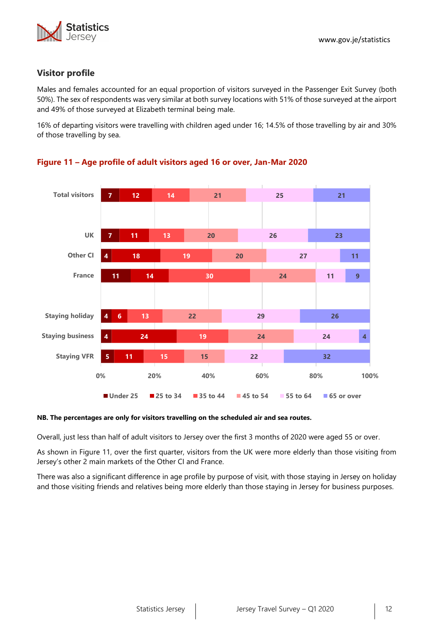# **Visitor profile**

Males and females accounted for an equal proportion of visitors surveyed in the Passenger Exit Survey (both 50%). The sex of respondents was very similar at both survey locations with 51% of those surveyed at the airport and 49% of those surveyed at Elizabeth terminal being male.

16% of departing visitors were travelling with children aged under 16; 14.5% of those travelling by air and 30% of those travelling by sea.



# **Figure 11 – Age profile of adult visitors aged 16 or over, Jan-Mar 2020**

#### **NB. The percentages are only for visitors travelling on the scheduled air and sea routes.**

Overall, just less than half of adult visitors to Jersey over the first 3 months of 2020 were aged 55 or over.

As shown in Figure 11, over the first quarter, visitors from the UK were more elderly than those visiting from Jersey's other 2 main markets of the Other CI and France.

There was also a significant difference in age profile by purpose of visit, with those staying in Jersey on holiday and those visiting friends and relatives being more elderly than those staying in Jersey for business purposes.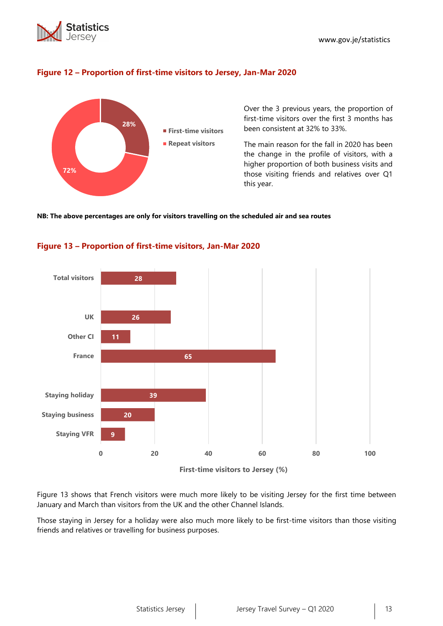



## **Figure 12 – Proportion of first-time visitors to Jersey, Jan-Mar 2020**

Over the 3 previous years, the proportion of first-time visitors over the first 3 months has been consistent at 32% to 33%.

The main reason for the fall in 2020 has been the change in the profile of visitors, with a higher proportion of both business visits and those visiting friends and relatives over Q1 this year.

#### **NB: The above percentages are only for visitors travelling on the scheduled air and sea routes**





**First-time visitors to Jersey (%)**

Figure 13 shows that French visitors were much more likely to be visiting Jersey for the first time between January and March than visitors from the UK and the other Channel Islands.

Those staying in Jersey for a holiday were also much more likely to be first-time visitors than those visiting friends and relatives or travelling for business purposes.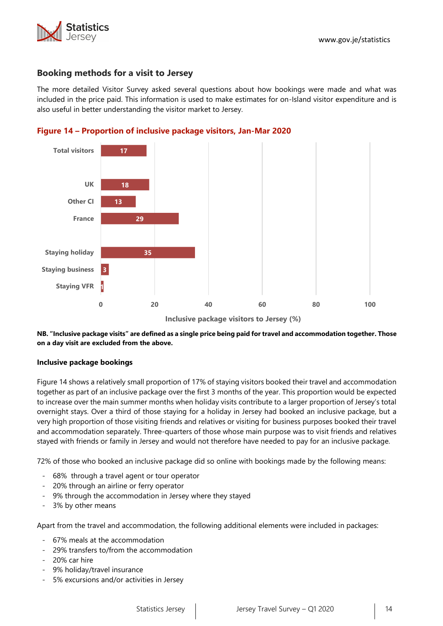

## **Booking methods for a visit to Jersey**

The more detailed Visitor Survey asked several questions about how bookings were made and what was included in the price paid. This information is used to make estimates for on-Island visitor expenditure and is also useful in better understanding the visitor market to Jersey.





**NB. "Inclusive package visits" are defined as a single price being paid for travel and accommodation together. Those on a day visit are excluded from the above.**

#### **Inclusive package bookings**

Figure 14 shows a relatively small proportion of 17% of staying visitors booked their travel and accommodation together as part of an inclusive package over the first 3 months of the year. This proportion would be expected to increase over the main summer months when holiday visits contribute to a larger proportion of Jersey's total overnight stays. Over a third of those staying for a holiday in Jersey had booked an inclusive package, but a very high proportion of those visiting friends and relatives or visiting for business purposes booked their travel and accommodation separately. Three-quarters of those whose main purpose was to visit friends and relatives stayed with friends or family in Jersey and would not therefore have needed to pay for an inclusive package.

72% of those who booked an inclusive package did so online with bookings made by the following means:

- 68% through a travel agent or tour operator
- 20% through an airline or ferry operator
- 9% through the accommodation in Jersey where they stayed
- 3% by other means

Apart from the travel and accommodation, the following additional elements were included in packages:

- 67% meals at the accommodation
- 29% transfers to/from the accommodation
- 20% car hire
- 9% holiday/travel insurance
- 5% excursions and/or activities in Jersey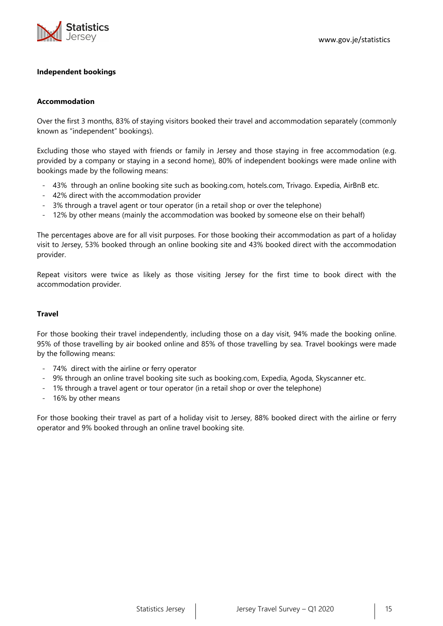

#### **Independent bookings**

#### **Accommodation**

Over the first 3 months, 83% of staying visitors booked their travel and accommodation separately (commonly known as "independent" bookings).

Excluding those who stayed with friends or family in Jersey and those staying in free accommodation (e.g. provided by a company or staying in a second home), 80% of independent bookings were made online with bookings made by the following means:

- 43% through an online booking site such as booking.com, hotels.com, Trivago. Expedia, AirBnB etc.
- 42% direct with the accommodation provider
- 3% through a travel agent or tour operator (in a retail shop or over the telephone)
- 12% by other means (mainly the accommodation was booked by someone else on their behalf)

The percentages above are for all visit purposes. For those booking their accommodation as part of a holiday visit to Jersey, 53% booked through an online booking site and 43% booked direct with the accommodation provider.

Repeat visitors were twice as likely as those visiting Jersey for the first time to book direct with the accommodation provider.

#### **Travel**

For those booking their travel independently, including those on a day visit, 94% made the booking online. 95% of those travelling by air booked online and 85% of those travelling by sea. Travel bookings were made by the following means:

- 74% direct with the airline or ferry operator
- 9% through an online travel booking site such as booking.com, Expedia, Agoda, Skyscanner etc.
- 1% through a travel agent or tour operator (in a retail shop or over the telephone)
- 16% by other means

For those booking their travel as part of a holiday visit to Jersey, 88% booked direct with the airline or ferry operator and 9% booked through an online travel booking site.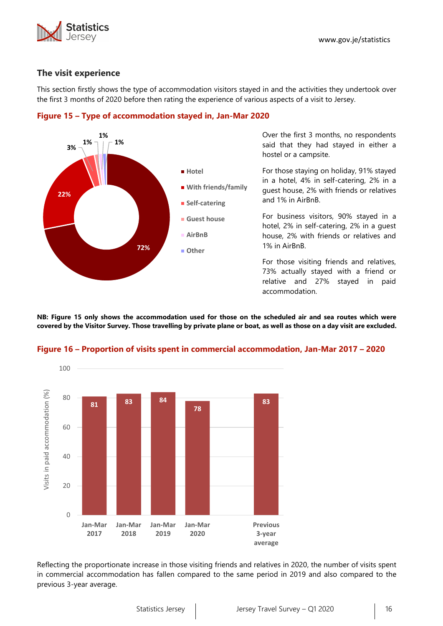

## **The visit experience**

This section firstly shows the type of accommodation visitors stayed in and the activities they undertook over the first 3 months of 2020 before then rating the experience of various aspects of a visit to Jersey.



**Figure 15 – Type of accommodation stayed in, Jan-Mar 2020**

guest house, 2% with friends or relatives and 1% in AirBnB. For business visitors, 90% stayed in a

hotel, 2% in self-catering, 2% in a guest house, 2% with friends or relatives and 1% in AirBnB.

For those visiting friends and relatives, 73% actually stayed with a friend or relative and 27% stayed in paid accommodation.

**NB: Figure 15 only shows the accommodation used for those on the scheduled air and sea routes which were covered by the Visitor Survey. Those travelling by private plane or boat, as well as those on a day visit are excluded.**



#### **Figure 16 – Proportion of visits spent in commercial accommodation, Jan-Mar 2017 – 2020**

Reflecting the proportionate increase in those visiting friends and relatives in 2020, the number of visits spent in commercial accommodation has fallen compared to the same period in 2019 and also compared to the previous 3-year average.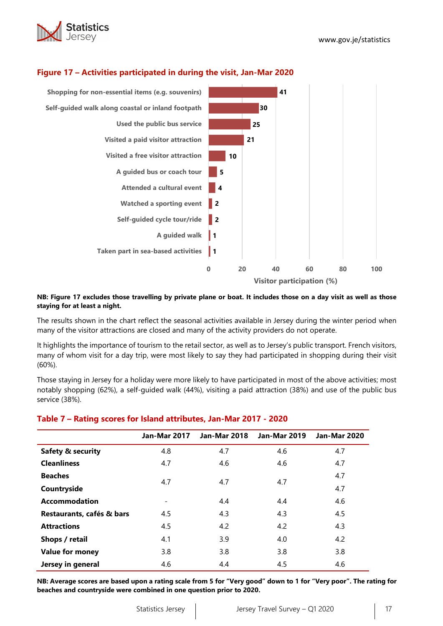



# **Figure 17 – Activities participated in during the visit, Jan-Mar 2020**

#### **NB: Figure 17 excludes those travelling by private plane or boat. It includes those on a day visit as well as those staying for at least a night.**

The results shown in the chart reflect the seasonal activities available in Jersey during the winter period when many of the visitor attractions are closed and many of the activity providers do not operate.

It highlights the importance of tourism to the retail sector, as well as to Jersey's public transport. French visitors, many of whom visit for a day trip, were most likely to say they had participated in shopping during their visit (60%).

Those staying in Jersey for a holiday were more likely to have participated in most of the above activities; most notably shopping (62%), a self-guided walk (44%), visiting a paid attraction (38%) and use of the public bus service (38%).

#### **Table 7 – Rating scores for Island attributes, Jan-Mar 2017 - 2020**

|                              | <b>Jan-Mar 2017</b>      | <b>Jan-Mar 2018</b> | <b>Jan-Mar 2019</b> | <b>Jan-Mar 2020</b> |
|------------------------------|--------------------------|---------------------|---------------------|---------------------|
| <b>Safety &amp; security</b> | 4.8                      | 4.7                 | 4.6                 | 4.7                 |
| <b>Cleanliness</b>           | 4.7                      | 4.6                 | 4.6                 | 4.7                 |
| <b>Beaches</b>               | 4.7                      | 4.7                 | 4.7                 | 4.7                 |
| Countryside                  |                          |                     |                     | 4.7                 |
| <b>Accommodation</b>         | $\overline{\phantom{a}}$ | 4.4                 | 4.4                 | 4.6                 |
| Restaurants, cafés & bars    | 4.5                      | 4.3                 | 4.3                 | 4.5                 |
| <b>Attractions</b>           | 4.5                      | 4.2                 | 4.2                 | 4.3                 |
| Shops / retail               | 4.1                      | 3.9                 | 4.0                 | 4.2                 |
| <b>Value for money</b>       | 3.8                      | 3.8                 | 3.8                 | 3.8                 |
| Jersey in general            | 4.6                      | 4.4                 | 4.5                 | 4.6                 |

**NB: Average scores are based upon a rating scale from 5 for "Very good" down to 1 for "Very poor". The rating for beaches and countryside were combined in one question prior to 2020.**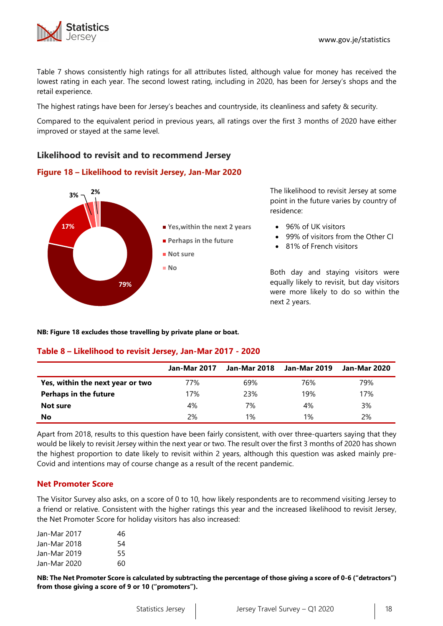



Table 7 shows consistently high ratings for all attributes listed, although value for money has received the lowest rating in each year. The second lowest rating, including in 2020, has been for Jersey's shops and the retail experience.

The highest ratings have been for Jersey's beaches and countryside, its cleanliness and safety & security.

Compared to the equivalent period in previous years, all ratings over the first 3 months of 2020 have either improved or stayed at the same level.

# **Likelihood to revisit and to recommend Jersey**

## **Figure 18 – Likelihood to revisit Jersey, Jan-Mar 2020**



The likelihood to revisit Jersey at some point in the future varies by country of residence:

- 96% of UK visitors
- 99% of visitors from the Other CI
- 81% of French visitors

Both day and staying visitors were equally likely to revisit, but day visitors were more likely to do so within the next 2 years.

**NB: Figure 18 excludes those travelling by private plane or boat.**

#### **Table 8 – Likelihood to revisit Jersey, Jan-Mar 2017 - 2020**

|                                  | <b>Jan-Mar 2017</b> | Jan-Mar 2018 | Jan-Mar 2019 | Jan-Mar 2020 |
|----------------------------------|---------------------|--------------|--------------|--------------|
| Yes, within the next year or two | 77%                 | 69%          | 76%          | 79%          |
| <b>Perhaps in the future</b>     | 17%                 | 23%          | 19%          | 17%          |
| Not sure                         | 4%                  | 7%           | 4%           | 3%           |
| No                               | 2%                  | 1%           | $1\%$        | 2%           |

Apart from 2018, results to this question have been fairly consistent, with over three-quarters saying that they would be likely to revisit Jersey within the next year or two. The result over the first 3 months of 2020 has shown the highest proportion to date likely to revisit within 2 years, although this question was asked mainly pre-Covid and intentions may of course change as a result of the recent pandemic.

#### **Net Promoter Score**

The Visitor Survey also asks, on a score of 0 to 10, how likely respondents are to recommend visiting Jersey to a friend or relative. Consistent with the higher ratings this year and the increased likelihood to revisit Jersey, the Net Promoter Score for holiday visitors has also increased:

| Jan-Mar 2017 | 46 |
|--------------|----|
| Jan-Mar 2018 | 54 |
| Jan-Mar 2019 | 55 |
| Jan-Mar 2020 | 60 |

**NB: The Net Promoter Score is calculated by subtracting the percentage of those giving a score of 0-6 ("detractors") from those giving a score of 9 or 10 ("promoters").**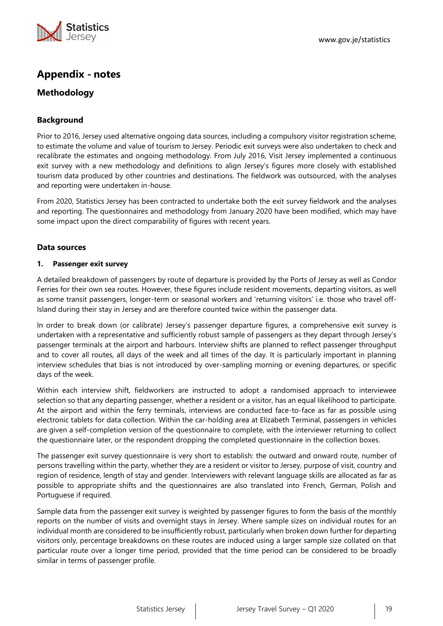

# **Appendix - notes**

# **Methodology**

# **Background**

Prior to 2016, Jersey used alternative ongoing data sources, including a compulsory visitor registration scheme, to estimate the volume and value of tourism to Jersey. Periodic exit surveys were also undertaken to check and recalibrate the estimates and ongoing methodology. From July 2016, Visit Jersey implemented a continuous exit survey with a new methodology and definitions to align Jersey's figures more closely with established tourism data produced by other countries and destinations. The fieldwork was outsourced, with the analyses and reporting were undertaken in-house.

From 2020, Statistics Jersey has been contracted to undertake both the exit survey fieldwork and the analyses and reporting. The questionnaires and methodology from January 2020 have been modified, which may have some impact upon the direct comparability of figures with recent years.

## **Data sources**

#### **1. Passenger exit survey**

A detailed breakdown of passengers by route of departure is provided by the Ports of Jersey as well as Condor Ferries for their own sea routes. However, these figures include resident movements, departing visitors, as well as some transit passengers, longer-term or seasonal workers and 'returning visitors' i.e. those who travel off-Island during their stay in Jersey and are therefore counted twice within the passenger data.

In order to break down (or calibrate) Jersey's passenger departure figures, a comprehensive exit survey is undertaken with a representative and sufficiently robust sample of passengers as they depart through Jersey's passenger terminals at the airport and harbours. Interview shifts are planned to reflect passenger throughput and to cover all routes, all days of the week and all times of the day. It is particularly important in planning interview schedules that bias is not introduced by over-sampling morning or evening departures, or specific days of the week.

Within each interview shift, fieldworkers are instructed to adopt a randomised approach to interviewee selection so that any departing passenger, whether a resident or a visitor, has an equal likelihood to participate. At the airport and within the ferry terminals, interviews are conducted face-to-face as far as possible using electronic tablets for data collection. Within the car-holding area at Elizabeth Terminal, passengers in vehicles are given a self-completion version of the questionnaire to complete, with the interviewer returning to collect the questionnaire later, or the respondent dropping the completed questionnaire in the collection boxes.

The passenger exit survey questionnaire is very short to establish: the outward and onward route, number of persons travelling within the party, whether they are a resident or visitor to Jersey, purpose of visit, country and region of residence, length of stay and gender. Interviewers with relevant language skills are allocated as far as possible to appropriate shifts and the questionnaires are also translated into French, German, Polish and Portuguese if required.

Sample data from the passenger exit survey is weighted by passenger figures to form the basis of the monthly reports on the number of visits and overnight stays in Jersey. Where sample sizes on individual routes for an individual month are considered to be insufficiently robust, particularly when broken down further for departing visitors only, percentage breakdowns on these routes are induced using a larger sample size collated on that particular route over a longer time period, provided that the time period can be considered to be broadly similar in terms of passenger profile.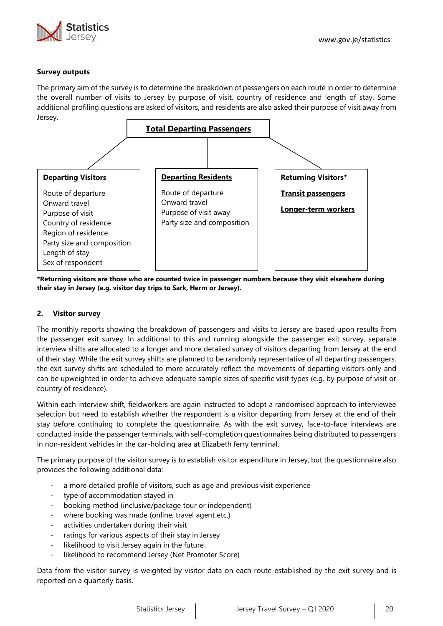

## **Survey outputs**

The primary aim of the survey is to determine the breakdown of passengers on each route in order to determine the overall number of visits to Jersey by purpose of visit, country of residence and length of stay. Some additional profiling questions are asked of visitors, and residents are also asked their purpose of visit away from Jersey.



**\*Returning visitors are those who are counted twice in passenger numbers because they visit elsewhere during their stay in Jersey (e.g. visitor day trips to Sark, Herm or Jersey).**

#### **2. Visitor survey**

The monthly reports showing the breakdown of passengers and visits to Jersey are based upon results from the passenger exit survey. In additional to this and running alongside the passenger exit survey, separate interview shifts are allocated to a longer and more detailed survey of visitors departing from Jersey at the end of their stay. While the exit survey shifts are planned to be randomly representative of all departing passengers, the exit survey shifts are scheduled to more accurately reflect the movements of departing visitors only and can be upweighted in order to achieve adequate sample sizes of specific visit types (e.g. by purpose of visit or country of residence).

Within each interview shift, fieldworkers are again instructed to adopt a randomised approach to interviewee selection but need to establish whether the respondent is a visitor departing from Jersey at the end of their stay before continuing to complete the questionnaire. As with the exit survey, face-to-face interviews are conducted inside the passenger terminals, with self-completion questionnaires being distributed to passengers in non-resident vehicles in the car-holding area at Elizabeth ferry terminal.

The primary purpose of the visitor survey is to establish visitor expenditure in Jersey, but the questionnaire also provides the following additional data:

- a more detailed profile of visitors, such as age and previous visit experience
- type of accommodation stayed in
- booking method (inclusive/package tour or independent)
- where booking was made (online, travel agent etc.)
- activities undertaken during their visit
- ratings for various aspects of their stay in Jersey
- likelihood to visit Jersey again in the future
- likelihood to recommend Jersey (Net Promoter Score)

Data from the visitor survey is weighted by visitor data on each route established by the exit survey and is reported on a quarterly basis.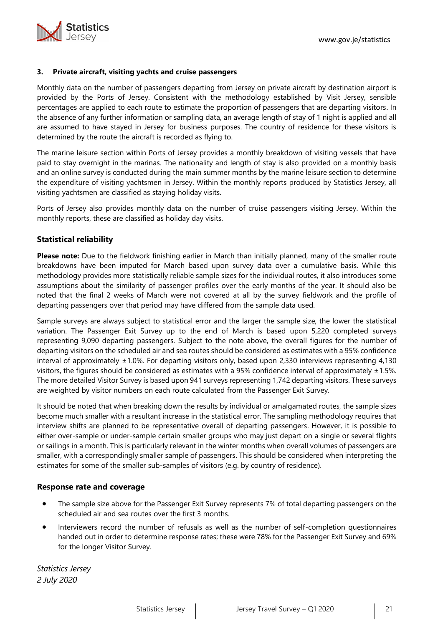

#### **3. Private aircraft, visiting yachts and cruise passengers**

Monthly data on the number of passengers departing from Jersey on private aircraft by destination airport is provided by the Ports of Jersey. Consistent with the methodology established by Visit Jersey, sensible percentages are applied to each route to estimate the proportion of passengers that are departing visitors. In the absence of any further information or sampling data, an average length of stay of 1 night is applied and all are assumed to have stayed in Jersey for business purposes. The country of residence for these visitors is determined by the route the aircraft is recorded as flying to.

The marine leisure section within Ports of Jersey provides a monthly breakdown of visiting vessels that have paid to stay overnight in the marinas. The nationality and length of stay is also provided on a monthly basis and an online survey is conducted during the main summer months by the marine leisure section to determine the expenditure of visiting yachtsmen in Jersey. Within the monthly reports produced by Statistics Jersey, all visiting yachtsmen are classified as staying holiday visits.

Ports of Jersey also provides monthly data on the number of cruise passengers visiting Jersey. Within the monthly reports, these are classified as holiday day visits.

## **Statistical reliability**

**Please note:** Due to the fieldwork finishing earlier in March than initially planned, many of the smaller route breakdowns have been imputed for March based upon survey data over a cumulative basis. While this methodology provides more statistically reliable sample sizes for the individual routes, it also introduces some assumptions about the similarity of passenger profiles over the early months of the year. It should also be noted that the final 2 weeks of March were not covered at all by the survey fieldwork and the profile of departing passengers over that period may have differed from the sample data used.

Sample surveys are always subject to statistical error and the larger the sample size, the lower the statistical variation. The Passenger Exit Survey up to the end of March is based upon 5,220 completed surveys representing 9,090 departing passengers. Subject to the note above, the overall figures for the number of departing visitors on the scheduled air and sea routes should be considered as estimates with a 95% confidence interval of approximately  $\pm 1.0$ %. For departing visitors only, based upon 2,330 interviews representing 4,130 visitors, the figures should be considered as estimates with a 95% confidence interval of approximately  $\pm 1.5$ %. The more detailed Visitor Survey is based upon 941 surveys representing 1,742 departing visitors. These surveys are weighted by visitor numbers on each route calculated from the Passenger Exit Survey.

It should be noted that when breaking down the results by individual or amalgamated routes, the sample sizes become much smaller with a resultant increase in the statistical error. The sampling methodology requires that interview shifts are planned to be representative overall of departing passengers. However, it is possible to either over-sample or under-sample certain smaller groups who may just depart on a single or several flights or sailings in a month. This is particularly relevant in the winter months when overall volumes of passengers are smaller, with a correspondingly smaller sample of passengers. This should be considered when interpreting the estimates for some of the smaller sub-samples of visitors (e.g. by country of residence).

## **Response rate and coverage**

- The sample size above for the Passenger Exit Survey represents 7% of total departing passengers on the scheduled air and sea routes over the first 3 months.
- Interviewers record the number of refusals as well as the number of self-completion questionnaires handed out in order to determine response rates; these were 78% for the Passenger Exit Survey and 69% for the longer Visitor Survey.

*Statistics Jersey 2 July 2020*